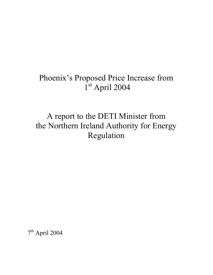# Phoenix's Proposed Price Increase from 1st April 2004

# A report to the DETI Minister from the Northern Ireland Authority for Energy Regulation

7th April 2004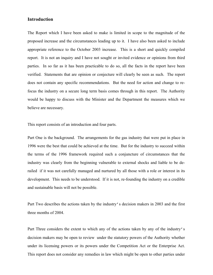# **Introduction**

The Report which I have been asked to make is limited in scope to the magnitude of the proposed increase and the circumstances leading up to it. I have also been asked to include appropriate reference to the October 2003 increase. This is a short and quickly compiled report. It is not an inquiry and I have not sought or invited evidence or opinions from third parties. In so far as it has been practicable to do so, all the facts in the report have been verified. Statements that are opinion or conjecture will clearly be seen as such. The report does not contain any specific recommendations. But the need for action and change to refocus the industry on a secure long term basis comes through in this report. The Authority would be happy to discuss with the Minister and the Department the measures which we believe are necessary.

This report consists of an introduction and four parts.

Part One is the background. The arrangements for the gas industry that were put in place in 1996 were the best that could be achieved at the time. But for the industry to succeed within the terms of the 1996 framework required such a conjuncture of circumstances that the industry was clearly from the beginning vulnerable to external shocks and liable to be derailed if it was not carefully managed and nurtured by all those with a role or interest in its development. This needs to be understood. If it is not, re-founding the industry on a credible and sustainable basis will not be possible.

Part Two describes the actions taken by the industry's decision makers in 2003 and the first three months of 2004.

Part Three considers the extent to which any of the actions taken by any of the industry's decision makers may be open to review under the statutory powers of the Authority whether under its licensing powers or its powers under the Competition Act or the Enterprise Act. This report does not consider any remedies in law which might be open to other parties under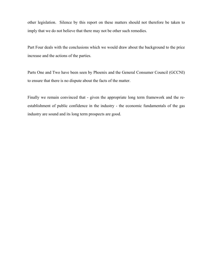other legislation. Silence by this report on these matters should not therefore be taken to imply that we do not believe that there may not be other such remedies.

Part Four deals with the conclusions which we would draw about the background to the price increase and the actions of the parties.

Parts One and Two have been seen by Phoenix and the General Consumer Council (GCCNI) to ensure that there is no dispute about the facts of the matter.

Finally we remain convinced that - given the appropriate long term framework and the reestablishment of public confidence in the industry - the economic fundamentals of the gas industry are sound and its long term prospects are good.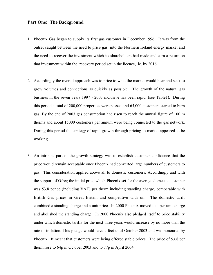#### **Part One: The Background**

- 1. Phoenix Gas began to supply its first gas customer in December 1996. It was from the outset caught between the need to price gas into the Northern Ireland energy market and the need to recover the investment which its shareholders had made and earn a return on that investment within the recovery period set in the licence, ie. by 2016.
- 2. Accordingly the overall approach was to price to what the market would bear and seek to grow volumes and connections as quickly as possible. The growth of the natural gas business in the seven years 1997 - 2003 inclusive has been rapid. (see Table1). During this period a total of 200,000 properties were passed and 65,000 customers started to burn gas. By the end of 2003 gas consumption had risen to reach the annual figure of 100 m therms and about 15000 customers per annum were being connected to the gas network. During this period the strategy of rapid growth through pricing to market appeared to be working.
- 3. An intrinsic part of the growth strategy was to establish customer confidence that the price would remain acceptable once Phoenix had converted large numbers of customers to gas. This consideration applied above all to domestic customers. Accordingly and with the support of Ofreg the initial price which Phoenix set for the average domestic customer was 53.8 pence (including VAT) per therm including standing charge, comparable with British Gas prices in Great Britain and competitive with oil. The domestic tariff combined a standing charge and a unit price. In 2000 Phoenix moved to a per unit charge and abolished the standing charge. In 2000 Phoenix also pledged itself to price stability under which domestic tariffs for the next three years would increase by no more than the rate of inflation. This pledge would have effect until October 2003 and was honoured by Phoenix. It meant that customers were being offered stable prices. The price of 53.8 per therm rose to 64p in October 2003 and to 77p in April 2004.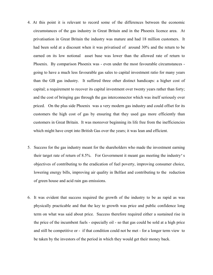- 4. At this point it is relevant to record some of the differences between the economic circumstances of the gas industry in Great Britain and in the Phoenix licence area. At privatisation in Great Britain the industry was mature and had 18 million customers. It had been sold at a discount when it was privatised of around 30% and the return to be earned on its low notional asset base was lower than the allowed rate of return to Phoenix. By comparison Phoenix was - even under the most favourable circumstances going to have a much less favourable gas sales to capital investment ratio for many years than the GB gas industry. It suffered three other distinct handicaps: a higher cost of capital; a requirement to recover its capital investment over twenty years rather than forty; and the cost of bringing gas through the gas interconnector which was itself seriously over priced. On the plus side Phoenix was a very modern gas industry and could offset for its customers the high cost of gas by ensuring that they used gas more efficiently than customers in Great Britain. It was moreover beginning its life free from the inefficiencies which might have crept into British Gas over the years; it was lean and efficient.
- 5. Success for the gas industry meant for the shareholders who made the investment earning their target rate of return of 8.5%. For Government it meant gas meeting the industry's objectives of contributing to the eradication of fuel poverty, improving consumer choice, lowering energy bills, improving air quality in Belfast and contributing to the reduction of green house and acid rain gas emissions.
- 6. It was evident that success required the growth of the industry to be as rapid as was physically practicable and that the key to growth was price and public confidence long term on what was said about price. Success therefore required either a sustained rise in the price of the incumbent fuels - especially oil - so that gas could be sold at a high price and still be competitive or - if that condition could not be met - for a longer term view to be taken by the investors of the period in which they would get their money back.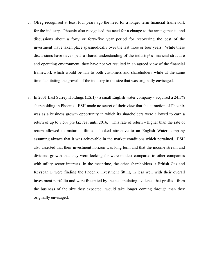- 7. Ofreg recognised at least four years ago the need for a longer term financial framework for the industry. Phoenix also recognised the need for a change to the arrangements and discussions about a forty or forty-five year period for recovering the cost of the investment have taken place spasmodically over the last three or four years. While these discussions have developed a shared understanding of the industry's financial structure and operating environment, they have not yet resulted in an agreed view of the financial framework which would be fair to both customers and shareholders while at the same time facilitating the growth of the industry to the size that was originally envisaged.
- 8. In 2001 East Surrey Holdings (ESH) a small English water company acquired a 24.5% shareholding in Phoenix. ESH made no secret of their view that the attraction of Phoenix was as a business growth opportunity in which its shareholders were allowed to earn a return of up to 8.5% pre tax real until 2016. This rate of return – higher than the rate of return allowed to mature utilities – looked attractive to an English Water company assuming always that it was achievable in the market conditions which pertained. ESH also asserted that their investment horizon was long term and that the income stream and dividend growth that they were looking for were modest compared to other companies with utility sector interests. In the meantime, the other shareholders B British Gas and Keyspan B were finding the Phoenix investment fitting in less well with their overall investment portfolio and were frustrated by the accumulating evidence that profits from the business of the size they expected would take longer coming through than they originally envisaged.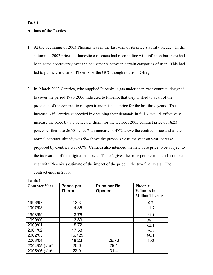#### **Part 2**

### **Actions of the Parties**

- 1. At the beginning of 2003 Phoenix was in the last year of its price stability pledge. In the autumn of 2002 prices to domestic customers had risen in line with inflation but there had been some controversy over the adjustments between certain categories of user. This had led to public criticism of Phoenix by the GCC though not from Ofreg.
- 2. In March 2003 Centrica, who supplied Phoenix's gas under a ten-year contract, designed to cover the period 1996-2006 indicated to Phoenix that they wished to avail of the provision of the contract to re-open it and raise the price for the last three years. The increase - if Centrica succeeded in obtaining their demands in full - would effectively increase the price by 8.5 pence per therm for the October 2003 contract price of 18.23 pence per therm to 26.73 pence B an increase of 47% above the contract price and as the normal contract already was 9% above the previous year, the year on year increase proposed by Centrica was 60%. Centrica also intended the new base price to be subject to the indexation of the original contract. Table 2 gives the price per therm in each contract year with Phoenix's estimate of the impact of the price in the two final years. The contract ends in 2006.

| <b>Contract Year</b> | Pence per<br>Therm | Price per Re-<br>Opener | <b>Phoenix</b><br><b>Volumes</b> in<br><b>Million Therms</b> |
|----------------------|--------------------|-------------------------|--------------------------------------------------------------|
| 1996/97              | 13.3               |                         | 0.7                                                          |
| 1997/98              | 14.85              |                         | 11.7                                                         |
| 1998/99              | 13.76              |                         | 21.1                                                         |
| 1999/00              | 12.89              |                         | 38.3                                                         |
| 2000/01              | 15.72              |                         | 62.1                                                         |
| 2001/02              | 17.58              |                         | 76.8                                                         |
| 2002/03              | 16.725             |                         | 90.1                                                         |
| 2003/04              | 18.23              | 26.73                   | 100                                                          |
| 2004/05 (f/c)*       | 20.6               | 29.1                    |                                                              |
| 2005/06 (f/c)*       | 22.9               | 31.4                    |                                                              |

| Table |  |  |
|-------|--|--|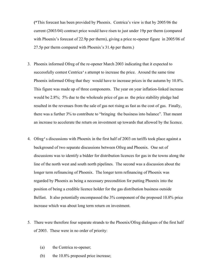**(\***This forecast has been provided by Phoenix. Centrica's view is that by 2005/06 the current (2003/04) contract price would have risen to just under 19p per therm (compared with Phoenix's forecast of 22.9p per therm), giving a price re-opener figure in 2005/06 of 27.5p per therm compared with Phoenix's 31.4p per therm.)

- 3. Phoenix informed Ofreg of the re-opener March 2003 indicating that it expected to successfully contest Centrica's attempt to increase the price. Around the same time Phoenix informed Ofreg that they would have to increase prices in the autumn by 10.8%. This figure was made up of three components. The year on year inflation-linked increase would be 2.8%; 5% due to the wholesale price of gas as the price stability pledge had resulted in the revenues from the sale of gas not rising as fast as the cost of gas. Finally, there was a further 3% to contribute to "bringing the business into balance". That meant an increase to accelerate the return on investment up towards that allowed by the licence.
- 4. Ofreg's discussions with Phoenix in the first half of 2003 on tariffs took place against a background of two separate discussions between Ofreg and Phoenix. One set of discussions was to identify a bidder for distribution licences for gas in the towns along the line of the north west and south north pipelines. The second was a discussion about the longer term refinancing of Phoenix. The longer term refinancing of Phoenix was regarded by Phoenix as being a necessary precondition for putting Phoenix into the position of being a credible licence holder for the gas distribution business outside Belfast. It also potentially encompassed the 3% component of the proposed 10.8% price increase which was about long term return on investment.
- 5. There were therefore four separate strands to the Phoenix/Ofreg dialogues of the first half of 2003. These were in no order of priority:
	- (a) the Centrica re-opener;
	- (b) the 10.8% proposed price increase;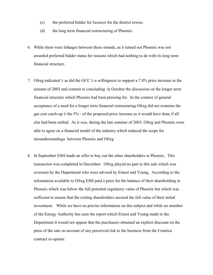- (c) the preferred bidder for licences for the district towns;
- (d) the long term financial restructuring of Phoenix.
- 6. While there were linkages between these strands, as it turned out Phoenix was not awarded preferred bidder status for reasons which had nothing to do with its long term financial structure.
- 7. Ofreg indicated B as did the GCC B a willingness to support a 7.8% price increase in the autumn of 2003 and commit to concluding in October the discussion on the longer term financial structure which Phoenix had been pressing for. In the context of general acceptance of a need for a longer term financial restructuring Ofreg did not examine the gas cost catch-up B the 5% - of the proposed price increase as it would have done if all else had been settled. As it was, during the late summer of 2003, Ofreg and Phoenix were able to agree on a financial model of the industry which reduced the scope for misunderstandings between Phoenix and Ofreg
- 8. In September ESH made an offer to buy out the other shareholders in Phoenix. This transaction was completed in December. Ofreg played no part in this sale which was overseen by the Department who were advised by Ernest and Young. According to the information available to Ofreg ESH paid a price for the balance of their shareholding in Phoenix which was below the full potential regulatory value of Phoenix but which was sufficient to ensure that the exiting shareholders secured the full value of their initial investment. While we have no precise information on this subject and while no member of the Energy Authority has seen the report which Ernest and Young made to the Department it would not appear that the purchasers obtained an explicit discount on the price of the sale on account of any perceived risk to the business from the Centrica contract re-opener.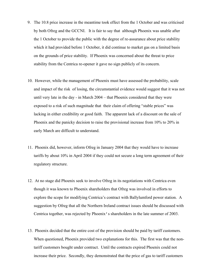- 9. The 10.8 price increase in the meantime took effect from the 1 October and was criticised by both Ofreg and the GCCNI. It is fair to say that although Phoenix was unable after the 1 October to provide the public with the degree of re-assurance about price stability which it had provided before 1 October, it did continue to market gas on a limited basis on the grounds of price stability. If Phoenix was concerned about the threat to price stability from the Centrica re-opener it gave no sign publicly of its concern.
- 10. However, while the management of Phoenix must have assessed the probability, scale and impact of the risk of losing, the circumstantial evidence would suggest that it was not until very late in the day - in March 2004 – that Phoenix considered that they were exposed to a risk of such magnitude that their claim of offering "stable prices" was lacking in either credibility or good faith. The apparent lack of a discount on the sale of Phoenix and the panicky decision to raise the provisional increase from 10% to 20% in early March are difficult to understand.
- 11. Phoenix did, however, inform Ofreg in January 2004 that they would have to increase tariffs by about 10% in April 2004 if they could not secure a long term agreement of their regulatory structure.
- 12. At no stage did Phoenix seek to involve Ofreg in its negotiations with Centrica even though it was known to Phoenix shareholders that Ofreg was involved in efforts to explore the scope for modifying Centrica's contract with Ballylumford power station. A suggestion by Ofreg that all the Northern Ireland contract issues should be discussed with Centrica together, was rejected by Phoenix's shareholders in the late summer of 2003.
- 13. Phoenix decided that the entire cost of the provision should be paid by tariff customers. When questioned, Phoenix provided two explanations for this. The first was that the nontariff customers bought under contract. Until the contracts expired Phoenix could not increase their price. Secondly, they demonstrated that the price of gas to tariff customers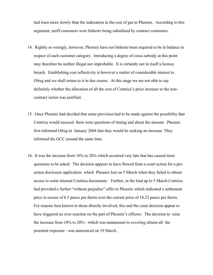had risen more slowly than the indexation in the cost of gas to Phoenix. According to this argument, tariff customers were hitherto being subsidised by contract customers.

- 14. Rightly or wrongly, however, Phoenix have not hitherto been required to be in balance in respect of each customer category. Introducing a degree of cross-subsidy at this point may therefore be neither illegal nor improbable. It is certainly not in itself a licence breach. Establishing cost reflectivity is however a matter of considerable interest to Ofreg and we shall return to it in due course. At this stage we are not able to say definitely whether the allocation of all the cost of Centrica's price increase to the noncontract sector was justified.
- 15. Once Phoenix had decided that some provision had to be made against the possibility that Centrica would succeed there were questions of timing and about the amount. Phoenix first informed Ofreg in January 2004 that they would be seeking an increase. They informed the GCC around the same time.
- 16. It was the increase from 10% to 20% which occurred very late that has caused most questions to be asked. The decision appears to have flowed from a court action for a preaction disclosure application which Phoenix lost on 5 March when they failed to obtain access to some internal Centrica documents. Further, in the lead up to 5 March Centrica had provided a further "without prejudice" offer to Phoenix which indicated a settlement price in excess of 8.5 pence per therm over the current price of 18.23 pence per therm. For reasons best known to those directly involved, this and the court decision appear to have triggered an over-reaction on the part of Phoenix's officers. The decision to raise the increase from 10% to 20% - which was tantamount to covering almost all the potential exposure - was announced on 19 March.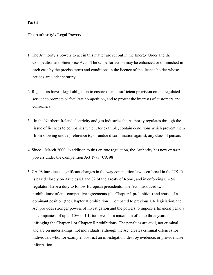### **Part 3**

#### **The Authority's Legal Powers**

- 1. The Authority's powers to act in this matter are set out in the Energy Order and the Competition and Enterprise Acts. The scope for action may be enhanced or diminished in each case by the precise terms and conditions in the licence of the licence holder whose actions are under scrutiny.
- 2. Regulators have a legal obligation to ensure there is sufficient provision on the regulated service to promote or facilitate competition, and to protect the interests of customers and consumers.
- 3. In the Northern Ireland electricity and gas industries the Authority regulates through the issue of licences to companies which, for example, contain conditions which prevent them from showing undue preference to, or undue discrimination against, any class of person.
- 4. Since 1 March 2000, in addition to this *ex ante* regulation, the Authority has new *ex post* powers under the Competition Act 1998 (CA 98).
- 5. CA 98 introduced significant changes in the way competition law is enforced in the UK. It is based closely on Articles 81 and 82 of the Treaty of Rome, and in enforcing CA 98 regulators have a duty to follow European precedents. The Act introduced two prohibitions: of anti-competitive agreements (the Chapter 1 prohibition) and abuse of a dominant position (the Chapter II prohibition). Compared to previous UK legislation, the Act provides stronger powers of investigation and the powers to impose a financial penalty on companies, of up to 10% of UK turnover for a maximum of up to three years for infringing the Chapter 1 or Chapter II prohibitions. The penalties are civil, not criminal, and are on undertakings, not individuals, although the Act creates criminal offences for individuals who, for example, obstruct an investigation, destroy evidence, or provide false information.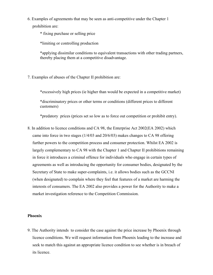6. Examples of agreements that may be seen as anti-competitive under the Chapter 1 prohibition are:

\* fixing purchase or selling price

\*limiting or controlling production

\*applying dissimilar conditions to equivalent transactions with other trading partners, thereby placing them at a competitive disadvantage.

7. Examples of abuses of the Chapter II prohibition are:

\*excessively high prices (ie higher than would be expected in a competitive market)

\*discriminatory prices or other terms or conditions (different prices to different customers)

\*predatory prices (prices set so low as to force out competition or prohibit entry).

8. In addition to licence conditions and CA 98, the Enterprise Act 2002(EA 2002) which came into force in two stages (1/4/03 and 20/6/03) makes changes to CA 98 offering further powers to the competition process and consumer protection. Whilst EA 2002 is largely complementary to CA 98 with the Chapter 1 and Chapter II prohibitions remaining in force it introduces a criminal offence for individuals who engage in certain types of agreements as well as introducing the opportunity for consumer bodies, designated by the Secretary of State to make super-complaints, i.e. it allows bodies such as the GCCNI (when designated) to complain where they feel that features of a market are harming the interests of consumers. The EA 2002 also provides a power for the Authority to make a market investigation reference to the Competition Commission.

## **Phoenix**

9. The Authority intends to consider the case against the price increase by Phoenix through licence conditions. We will request information from Phoenix leading to the increase and seek to match this against an appropriate licence condition to see whether is in breach of its licence.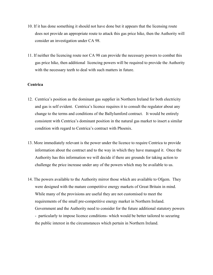- 10. If it has done something it should not have done but it appears that the licensing route does not provide an appropriate route to attack this gas price hike, then the Authority will consider an investigation under CA 98.
- 11. If neither the licencing route nor CA 98 can provide the necessary powers to combat this gas price hike, then additional licencing powers will be required to provide the Authority with the necessary teeth to deal with such matters in future.

#### **Centrica**

- 12. Centrica's position as the dominant gas supplier in Northern Ireland for both electricity and gas is self evident. Centrica's licence requires it to consult the regulator about any change to the terms and conditions of the Ballylumford contract. It would be entirely consistent with Centrica's dominant position in the natural gas market to insert a similar condition with regard to Centrica's contract with Phoenix.
- 13. More immediately relevant is the power under the licence to require Centrica to provide information about the contract and to the way in which they have managed it. Once the Authority has this information we will decide if there are grounds for taking action to challenge the price increase under any of the powers which may be available to us.
- 14. The powers available to the Authority mirror those which are available to Ofgem. They were designed with the mature competitive energy markets of Great Britain in mind. While many of the provisions are useful they are not customised to meet the requirements of the small pre-competitive energy market in Northern Ireland. Government and the Authority need to consider for the future additional statutory powers - particularly to impose licence conditions- which would be better tailored to securing the public interest in the circumstances which pertain in Northern Ireland.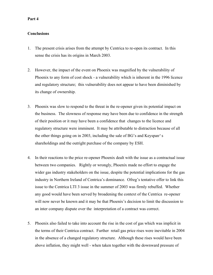### **Part 4**

## **Conclusions**

- 1. The present crisis arises from the attempt by Centrica to re-open its contract. In this sense the crisis has its origins in March 2003.
- 2. However, the impact of the event on Phoenix was magnified by the vulnerability of Phoenix to any form of cost shock - a vulnerability which is inherent in the 1996 licence and regulatory structure; this vulnerability does not appear to have been diminished by its change of ownership.
- 3. Phoenix was slow to respond to the threat in the re-opener given its potential impact on the business. The slowness of response may have been due to confidence in the strength of their position or it may have been a confidence that changes to the licence and regulatory structure were imminent. It may be attributable to distraction because of all the other things going on in 2003, including the sale of BG's and Keyspan's shareholdings and the outright purchase of the company by ESH.
- 4. In their reactions to the price re-opener Phoenix dealt with the issue as a contractual issue between two companies. Rightly or wrongly, Phoenix made no effort to engage the wider gas industry stakeholders on the issue, despite the potential implications for the gas industry in Northern Ireland of Centrica's dominance. Ofreg's tentative offer to link this issue to the Centrica LTI 3 issue in the summer of 2003 was firmly rebuffed. Whether any good would have been served by broadening the context of the Centrica re-opener will now never be known and it may be that Phoenix's decision to limit the discussion to an inter company dispute over the interpretation of a contract was correct.
- 5. Phoenix also failed to take into account the rise in the cost of gas which was implicit in the terms of their Centrica contract. Further retail gas price rises were inevitable in 2004 in the absence of a changed regulatory structure. Although these rises would have been above inflation, they might well - when taken together with the downward pressure of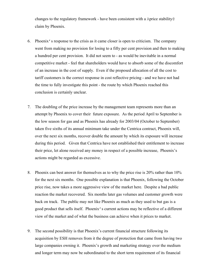changes to the regulatory framework - have been consistent with a Aprice stability@ claim by Phoenix.

- 6. Phoenix's response to the crisis as it came closer is open to criticism. The company went from making no provision for losing to a fifty per cent provision and then to making a hundred per cent provision. It did not seem to - as would be inevitable in a normal competitive market - feel that shareholders would have to absorb some of the discomfort of an increase in the cost of supply. Even if the proposed allocation of all the cost to tariff customers is the correct response in cost reflective pricing - and we have not had the time to fully investigate this point - the route by which Phoenix reached this conclusion is certainly unclear.
- 7. The doubling of the price increase by the management team represents more than an attempt by Phoenix to cover their future exposure. As the period April to September is the low season for gas and as Phoenix has already for 2003/04 (October to September) taken five sixths of its annual minimum take under the Centrica contract, Phoenix will, over the next six months, recover double the amount by which its exposure will increase during this period. Given that Centrica have not established their entitlement to increase their price, let alone received any money in respect of a possible increase, Phoenix's actions might be regarded as excessive.
- 8. Phoenix can best answer for themselves as to why the price rise is 20% rather than 10% for the next six months. One possible explanation is that Phoenix, following the October price rise, now takes a more aggressive view of the market here. Despite a bad public reaction the market recovered. Six months later gas volumes and customer growth were back on track. The public may not like Phoenix as much as they used to but gas is a good product that sells itself. Phoenix's current actions may be reflective of a different view of the market and of what the business can achieve when it prices to market.
- 9. The second possibility is that Phoenix's current financial structure following its acquisition by ESH removes from it the degree of protection that came from having two large companies owning it. Phoenix's growth and marketing strategy over the medium and longer term may now be subordinated to the short term requirement of its financial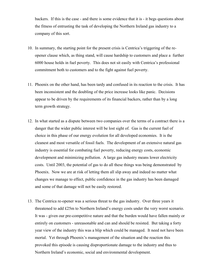backers. If this is the case - and there is some evidence that it is - it begs questions about the fitness of entrusting the task of developing the Northern Ireland gas industry to a company of this sort.

- 10. In summary, the starting point for the present crisis is Centrica's triggering of the reopener clause which, as thing stand, will cause hardship to customers and place a further 6000 house holds in fuel poverty. This does not sit easily with Centrica's professional commitment both to customers and to the fight against fuel poverty.
- 11. Phoenix on the other hand, has been tardy and confused in its reaction to the crisis. It has been inconsistent and the doubling of the price increase looks like panic. Decisions appear to be driven by the requirements of its financial backers, rather than by a long term growth strategy.
- 12. In what started as a dispute between two companies over the terms of a contract there is a danger that the wider public interest will be lost sight of. Gas is the current fuel of choice in this phase of our energy evolution for all developed economies. It is the cleanest and most versatile of fossil fuels. The development of an extensive natural gas industry is essential for combating fuel poverty, reducing energy costs, economic development and minimizing pollution. A large gas industry means lower electricity costs. Until 2003, the potential of gas to do all these things was being demonstrated by Phoenix. Now we are at risk of letting them all slip away and indeed no matter what changes we manage to effect, public confidence in the gas industry has been damaged and some of that damage will not be easily restored.
- 13. The Centrica re-opener was a serious threat to the gas industry. Over three years it threatened to add £25m to Northern Ireland's energy costs under the very worst scenario. It was - given our pre-competitive nature and that the burden would have fallen mainly or entirely on customers - unreasonable and can and should be resisted. But taking a forty year view of the industry this was a blip which could be managed. It need not have been mortal. Yet through Phoenix's management of the situation and the reaction this provoked this episode is causing disproportionate damage to the industry and thus to Northern Ireland's economic, social and environmental development.